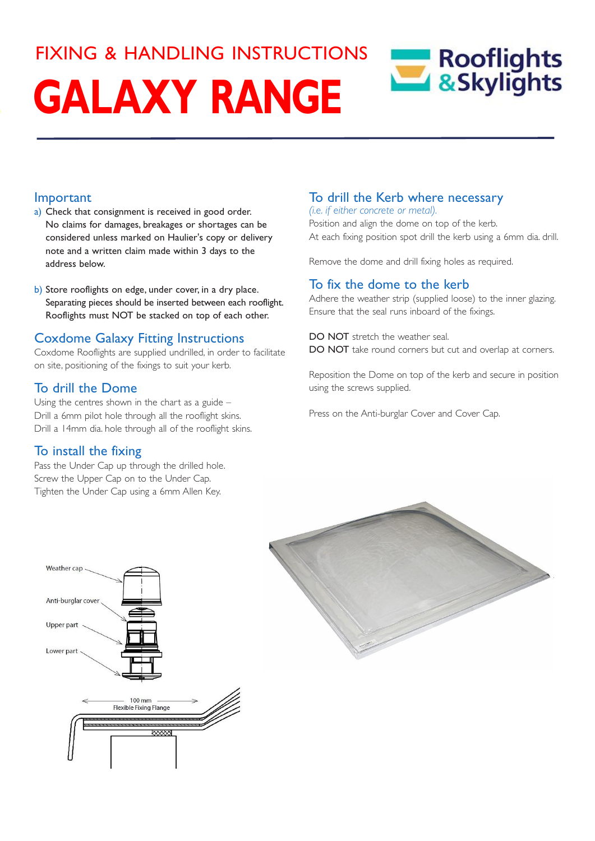# FIXING & HANDLING INSTRUCTIONSRooflights<br>8.Skylights **GALAXY RANGE**

### Important

- a) Check that consignment is received in good order. No claims for damages, breakages or shortages can be considered unless marked on Haulier's copy or delivery note and a written claim made within 3 days to the address below.
- b) Store rooflights on edge, under cover, in a dry place. Separating pieces should be inserted between each rooflight. Rooflights must NOT be stacked on top of each other.

### Coxdome Galaxy Fitting Instructions

Coxdome Rooflights are supplied undrilled, in order to facilitate on site, positioning of the fixings to suit your kerb.

### To drill the Dome

Using the centres shown in the chart as a guide – Drill a 6mm pilot hole through all the rooflight skins. Drill a 14mm dia. hole through all of the rooflight skins.

### To install the fixing

Weather cap

Pass the Under Cap up through the drilled hole. Screw the Upper Cap on to the Under Cap. Tighten the Under Cap using a 6mm Allen Key.

## To drill the Kerb where necessary

*(i.e. if either concrete or metal).* Position and align the dome on top of the kerb. At each fixing position spot drill the kerb using a 6mm dia. drill.

Remove the dome and drill fixing holes as required.

### To fix the dome to the kerb

Adhere the weather strip (supplied loose) to the inner glazing. Ensure that the seal runs inboard of the fixings.

DO NOT stretch the weather seal. DO NOT take round corners but cut and overlap at corners.

Reposition the Dome on top of the kerb and secure in position using the screws supplied.

Press on the Anti-burglar Cover and Cover Cap.